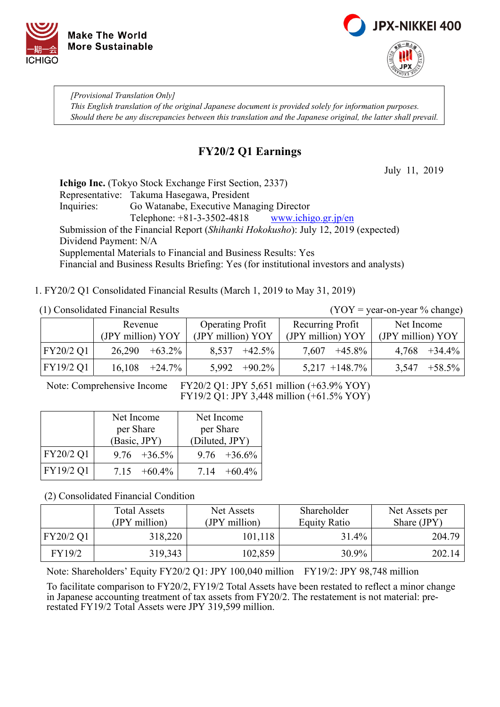



*[Provisional Translation Only] This English translation of the original Japanese document is provided solely for information purposes. Should there be any discrepancies between this translation and the Japanese original, the latter shall prevail.*

### **FY20/2 Q1 Earnings**

July 11, 2019

**Ichigo Inc.** (Tokyo Stock Exchange First Section, 2337) Representative: Takuma Hasegawa, President Inquiries: Go Watanabe, Executive Managing Director Telephone:  $+81-3-3502-4818$  www.ichigo.gr.jp/en Submission of the Financial Report (*Shihanki Hokokusho*): July 12, 2019 (expected) Dividend Payment: N/A Supplemental Materials to Financial and Business Results: Yes Financial and Business Results Briefing: Yes (for institutional investors and analysts)

1. FY20/2 Q1 Consolidated Financial Results (March 1, 2019 to May 31, 2019)

(1) Consolidated Financial Results (YOY = year-on-year % change)

|           | Revenue           |           | <b>Operating Profit</b> |           | Recurring Profit  |                   | Net Income        |           |
|-----------|-------------------|-----------|-------------------------|-----------|-------------------|-------------------|-------------------|-----------|
|           | (JPY million) YOY |           | (JPY million) YOY       |           | (JPY million) YOY |                   | (JPY million) YOY |           |
| FY20/2 Q1 | 26,290            | $+63.2\%$ | 8,537                   | $+42.5\%$ | 7,607             | $+45.8\%$         | 4,768             | $+34.4\%$ |
| FY19/2 Q1 | 16,108            | $+24.7\%$ | 5,992                   | $+90.2\%$ |                   | $5,217 + 148.7\%$ | 3,547             | $+58.5\%$ |

Note: Comprehensive Income FY20/2 Q1: JPY 5,651 million (+63.9% YOY) FY19/2 Q1: JPY 3,448 million (+61.5% YOY)

|           | Net Income      | Net Income      |
|-----------|-----------------|-----------------|
|           | per Share       | per Share       |
|           | (Basic, JPY)    | (Diluted, JPY)  |
| FY20/2 Q1 | $9.76 + 36.5\%$ | $9.76 + 36.6\%$ |
| FY19/2 Q1 | $7.15 +60.4\%$  | $7.14 + 60.4\%$ |

(2) Consolidated Financial Condition

|           | <b>Total Assets</b><br>(JPY million) | Net Assets<br>(JPY million) | Shareholder<br><b>Equity Ratio</b> | Net Assets per<br>Share (JPY) |
|-----------|--------------------------------------|-----------------------------|------------------------------------|-------------------------------|
| FY20/2 Q1 | 318,220                              | 101,118                     | 31.4%                              | 204.79                        |
| FY19/2    | 319,343                              | 102,859                     | 30.9%                              | 202.14                        |

Note: Shareholders' Equity FY20/2 Q1: JPY 100,040 million FY19/2: JPY 98,748 million

To facilitate comparison to FY20/2, FY19/2 Total Assets have been restated to reflect a minor change in Japanese accounting treatment of tax assets from FY20/2. The restatement is not material: prerestated FY19/2 Total Assets were JPY 319,599 million.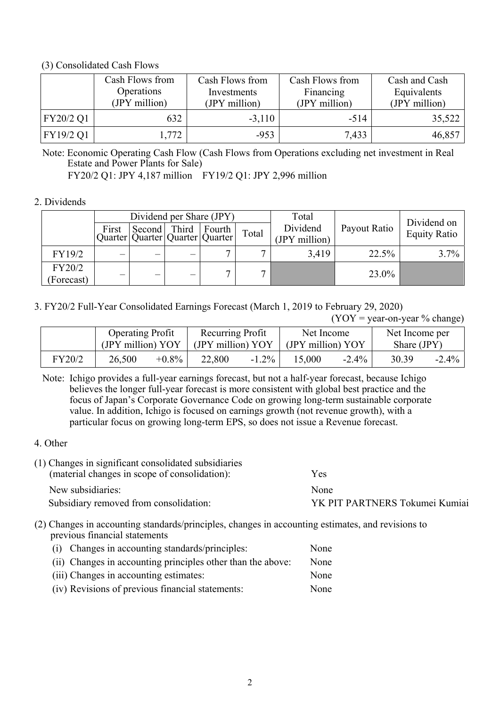#### (3) Consolidated Cash Flows

|           | Cash Flows from<br>Operations<br>(JPY million) | Cash Flows from<br>Investments<br>(JPY million) | Cash Flows from<br>Financing<br>(JPY million) | Cash and Cash<br>Equivalents<br>(JPY million) |
|-----------|------------------------------------------------|-------------------------------------------------|-----------------------------------------------|-----------------------------------------------|
| FY20/2 Q1 | 632                                            | $-3.110$                                        | $-514$                                        | 35,522                                        |
| FY19/2 Q1 | 1,772                                          | $-953$                                          | 7,433                                         | 46,857                                        |

Note: Economic Operating Cash Flow (Cash Flows from Operations excluding net investment in Real Estate and Power Plants for Sale)

FY20/2 Q1: JPY 4,187 million FY19/2 Q1: JPY 2,996 million

### 2. Dividends

|                      |        | Dividend per Share (JPY) |                                                                    |       | Total                     |              | Dividend on         |  |
|----------------------|--------|--------------------------|--------------------------------------------------------------------|-------|---------------------------|--------------|---------------------|--|
|                      | First  |                          | Second   Third   Fourth  <br>Quarter   Quarter   Quarter   Quarter | Total | Dividend<br>(JPY million) | Payout Ratio | <b>Equity Ratio</b> |  |
| FY19/2               | $\sim$ |                          |                                                                    |       | 3,419                     | 22.5%        | $3.7\%$             |  |
| FY20/2<br>(Forecast) | —      | $\overline{\phantom{m}}$ |                                                                    |       |                           | 23.0%        |                     |  |

3. FY20/2 Full-Year Consolidated Earnings Forecast (March 1, 2019 to February 29, 2020)

 $(YOY = year-on-year \% change)$ 

|        | <b>Operating Profit</b> |          | Recurring Profit  |          | Net Income            |          | Net Income per |          |
|--------|-------------------------|----------|-------------------|----------|-----------------------|----------|----------------|----------|
|        | (JPY million) YOY       |          | (JPY million) YOY |          | $(JPY$ million) $YOY$ |          | Share (JPY)    |          |
| FY20/2 | 26,500                  | $+0.8\%$ | 22,800            | $-1.2\%$ | 15,000                | $-2.4\%$ | 30.39          | $-2.4\%$ |

Note: Ichigo provides a full-year earnings forecast, but not a half-year forecast, because Ichigo believes the longer full-year forecast is more consistent with global best practice and the focus of Japan's Corporate Governance Code on growing long-term sustainable corporate value. In addition, Ichigo is focused on earnings growth (not revenue growth), with a particular focus on growing long-term EPS, so does not issue a Revenue forecast.

### 4. Other

| (1) Changes in significant consolidated subsidiaries<br>(material changes in scope of consolidation): | Yes                            |
|-------------------------------------------------------------------------------------------------------|--------------------------------|
| New subsidiaries:                                                                                     | None                           |
| Subsidiary removed from consolidation:                                                                | YK PIT PARTNERS Tokumei Kumiai |
|                                                                                                       |                                |

(2) Changes in accounting standards/principles, changes in accounting estimates, and revisions to previous financial statements

| (i) Changes in accounting standards/principles:             | None |
|-------------------------------------------------------------|------|
| (ii) Changes in accounting principles other than the above: | None |
| (iii) Changes in accounting estimates:                      | None |
| (iv) Revisions of previous financial statements:            | None |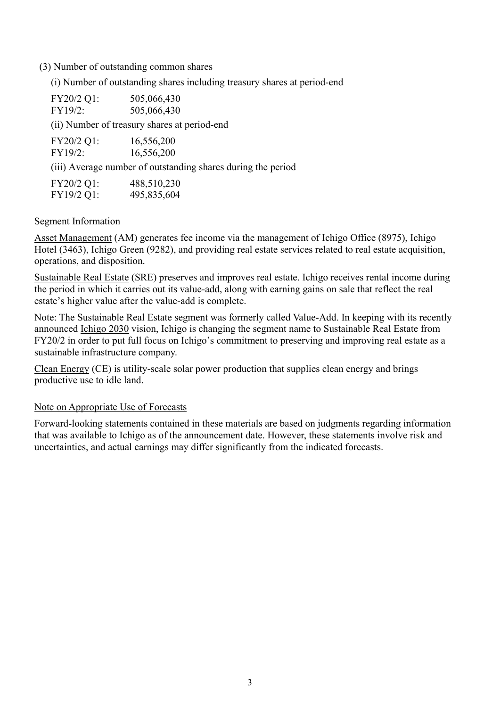#### (3) Number of outstanding common shares

(i) Number of outstanding shares including treasury shares at period-end

| FY20/2 Q1:<br>FY19/2: | 505,066,430<br>505,066,430                                   |
|-----------------------|--------------------------------------------------------------|
|                       | (ii) Number of treasury shares at period-end                 |
| FY20/2 Q1:<br>FY19/2: | 16,556,200<br>16,556,200                                     |
|                       | (iii) Average number of outstanding shares during the period |
| FY20/2 Q1:            | 488,510,230                                                  |

# Segment Information

FY19/2 Q1: 495,835,604

Asset Management (AM) generates fee income via the management of Ichigo Office (8975), Ichigo Hotel (3463), Ichigo Green (9282), and providing real estate services related to real estate acquisition, operations, and disposition.

Sustainable Real Estate (SRE) preserves and improves real estate. Ichigo receives rental income during the period in which it carries out its value-add, along with earning gains on sale that reflect the real estate's higher value after the value-add is complete.

Note: The Sustainable Real Estate segment was formerly called Value-Add. In keeping with its recently announced Ichigo 2030 vision, Ichigo is changing the segment name to Sustainable Real Estate from FY20/2 in order to put full focus on Ichigo's commitment to preserving and improving real estate as a sustainable infrastructure company.

Clean Energy (CE) is utility-scale solar power production that supplies clean energy and brings productive use to idle land.

#### Note on Appropriate Use of Forecasts

Forward-looking statements contained in these materials are based on judgments regarding information that was available to Ichigo as of the announcement date. However, these statements involve risk and uncertainties, and actual earnings may differ significantly from the indicated forecasts.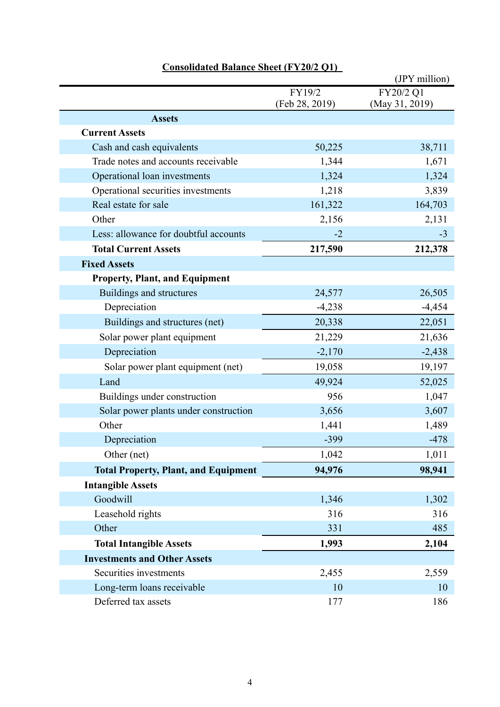|                                             |                          | (JPY million)               |
|---------------------------------------------|--------------------------|-----------------------------|
|                                             | FY19/2<br>(Feb 28, 2019) | FY20/2 Q1<br>(May 31, 2019) |
| <b>Assets</b>                               |                          |                             |
| <b>Current Assets</b>                       |                          |                             |
| Cash and cash equivalents                   | 50,225                   | 38,711                      |
| Trade notes and accounts receivable         | 1,344                    | 1,671                       |
| Operational loan investments                | 1,324                    | 1,324                       |
| Operational securities investments          | 1,218                    | 3,839                       |
| Real estate for sale                        | 161,322                  | 164,703                     |
| Other                                       | 2,156                    | 2,131                       |
| Less: allowance for doubtful accounts       | $-2$                     | $-3$                        |
| <b>Total Current Assets</b>                 | 217,590                  | 212,378                     |
| <b>Fixed Assets</b>                         |                          |                             |
| <b>Property, Plant, and Equipment</b>       |                          |                             |
| Buildings and structures                    | 24,577                   | 26,505                      |
| Depreciation                                | $-4,238$                 | $-4,454$                    |
| Buildings and structures (net)              | 20,338                   | 22,051                      |
| Solar power plant equipment                 | 21,229                   | 21,636                      |
| Depreciation                                | $-2,170$                 | $-2,438$                    |
| Solar power plant equipment (net)           | 19,058                   | 19,197                      |
| Land                                        | 49,924                   | 52,025                      |
| Buildings under construction                | 956                      | 1,047                       |
| Solar power plants under construction       | 3,656                    | 3,607                       |
| Other                                       | 1,441                    | 1,489                       |
| Depreciation                                | $-399$                   | $-478$                      |
| Other (net)                                 | 1,042                    | 1,011                       |
| <b>Total Property, Plant, and Equipment</b> | 94,976                   | 98,941                      |
| <b>Intangible Assets</b>                    |                          |                             |
| Goodwill                                    | 1,346                    | 1,302                       |
| Leasehold rights                            | 316                      | 316                         |
| Other                                       | 331                      | 485                         |
| <b>Total Intangible Assets</b>              | 1,993                    | 2,104                       |
| <b>Investments and Other Assets</b>         |                          |                             |
| Securities investments                      | 2,455                    | 2,559                       |
| Long-term loans receivable                  | 10                       | 10                          |
| Deferred tax assets                         | 177                      | 186                         |

### **Consolidated Balance Sheet (FY20/2 Q1)**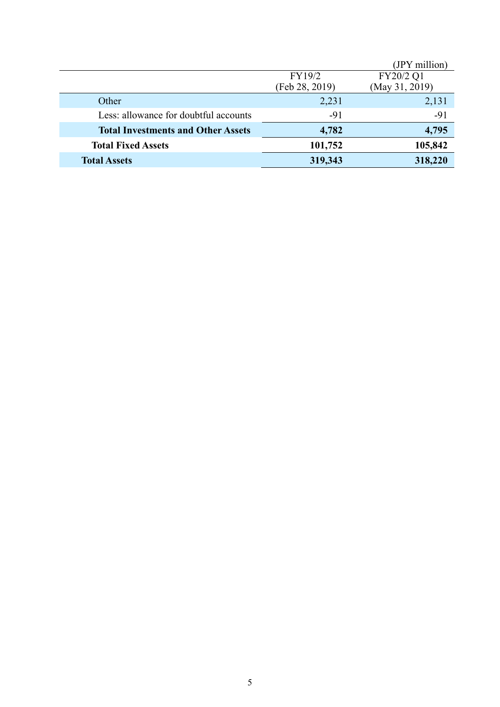|                                           |                          | (JPY million)               |
|-------------------------------------------|--------------------------|-----------------------------|
|                                           | FY19/2<br>(Feb 28, 2019) | FY20/2 Q1<br>(May 31, 2019) |
|                                           |                          |                             |
| Other                                     | 2,231                    | 2,131                       |
| Less: allowance for doubtful accounts     | $-91$                    | $-91$                       |
| <b>Total Investments and Other Assets</b> | 4,782                    | 4,795                       |
| <b>Total Fixed Assets</b>                 | 101,752                  | 105,842                     |
| <b>Total Assets</b>                       | 319,343                  | 318,220                     |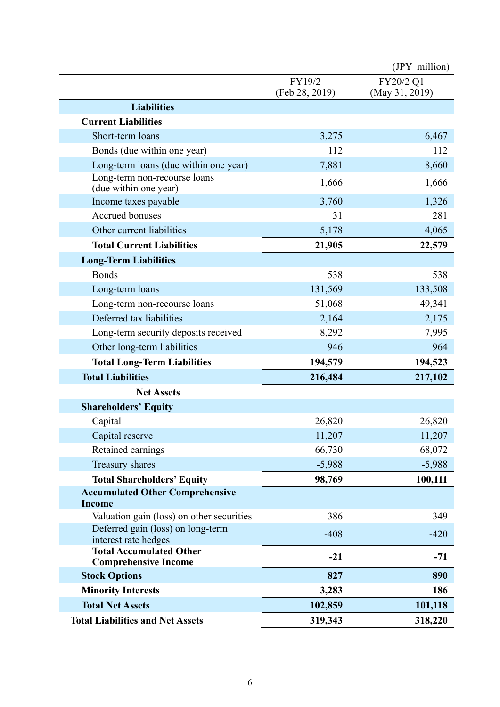|                                                               |                          | (JPY million)               |
|---------------------------------------------------------------|--------------------------|-----------------------------|
|                                                               | FY19/2<br>(Feb 28, 2019) | FY20/2 Q1<br>(May 31, 2019) |
| <b>Liabilities</b>                                            |                          |                             |
| <b>Current Liabilities</b>                                    |                          |                             |
| Short-term loans                                              | 3,275                    | 6,467                       |
| Bonds (due within one year)                                   | 112                      | 112                         |
| Long-term loans (due within one year)                         | 7,881                    | 8,660                       |
| Long-term non-recourse loans<br>(due within one year)         | 1,666                    | 1,666                       |
| Income taxes payable                                          | 3,760                    | 1,326                       |
| Accrued bonuses                                               | 31                       | 281                         |
| Other current liabilities                                     | 5,178                    | 4,065                       |
| <b>Total Current Liabilities</b>                              | 21,905                   | 22,579                      |
| <b>Long-Term Liabilities</b>                                  |                          |                             |
| <b>Bonds</b>                                                  | 538                      | 538                         |
| Long-term loans                                               | 131,569                  | 133,508                     |
| Long-term non-recourse loans                                  | 51,068                   | 49,341                      |
| Deferred tax liabilities                                      | 2,164                    | 2,175                       |
| Long-term security deposits received                          | 8,292                    | 7,995                       |
| Other long-term liabilities                                   | 946                      | 964                         |
| <b>Total Long-Term Liabilities</b>                            | 194,579                  | 194,523                     |
| <b>Total Liabilities</b>                                      | 216,484                  | 217,102                     |
| <b>Net Assets</b>                                             |                          |                             |
| <b>Shareholders' Equity</b>                                   |                          |                             |
| Capital                                                       | 26,820                   | 26,820                      |
| Capital reserve                                               | 11,207                   | 11,207                      |
| Retained earnings                                             | 66,730                   | 68,072                      |
| Treasury shares                                               | $-5,988$                 | $-5,988$                    |
| <b>Total Shareholders' Equity</b>                             | 98,769                   | 100,111                     |
| <b>Accumulated Other Comprehensive</b><br><b>Income</b>       |                          |                             |
| Valuation gain (loss) on other securities                     | 386                      | 349                         |
| Deferred gain (loss) on long-term<br>interest rate hedges     | $-408$                   | $-420$                      |
| <b>Total Accumulated Other</b><br><b>Comprehensive Income</b> | $-21$                    | $-71$                       |
| <b>Stock Options</b>                                          | 827                      | 890                         |
| <b>Minority Interests</b>                                     | 3,283                    | 186                         |
| <b>Total Net Assets</b>                                       | 102,859                  | 101,118                     |
| <b>Total Liabilities and Net Assets</b>                       | 319,343                  | 318,220                     |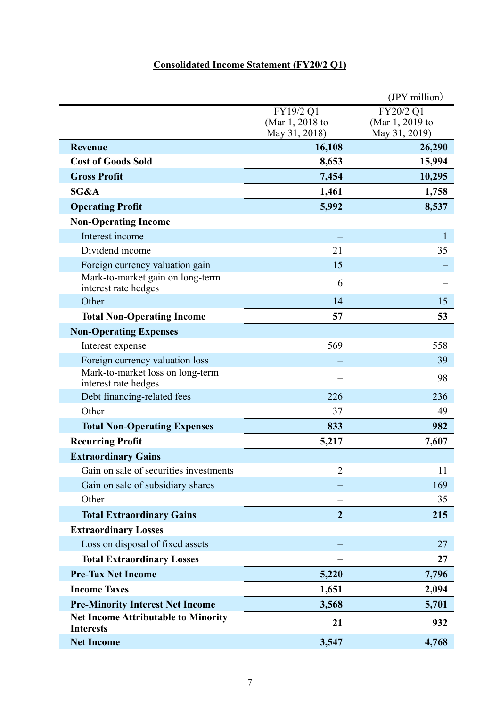## **Consolidated Income Statement (FY20/2 Q1)**

|                                                                |                                               | $(IPY$ million)                               |
|----------------------------------------------------------------|-----------------------------------------------|-----------------------------------------------|
|                                                                | FY19/2 Q1<br>(Mar 1, 2018 to<br>May 31, 2018) | FY20/2 Q1<br>(Mar 1, 2019 to<br>May 31, 2019) |
| <b>Revenue</b>                                                 | 16,108                                        | 26,290                                        |
| <b>Cost of Goods Sold</b>                                      | 8,653                                         | 15,994                                        |
| <b>Gross Profit</b>                                            | 7,454                                         | 10,295                                        |
| SG&A                                                           | 1,461                                         | 1,758                                         |
| <b>Operating Profit</b>                                        | 5,992                                         | 8,537                                         |
| <b>Non-Operating Income</b>                                    |                                               |                                               |
| Interest income                                                |                                               | 1                                             |
| Dividend income                                                | 21                                            | 35                                            |
| Foreign currency valuation gain                                | 15                                            |                                               |
| Mark-to-market gain on long-term<br>interest rate hedges       | 6                                             |                                               |
| Other                                                          | 14                                            | 15                                            |
| <b>Total Non-Operating Income</b>                              | 57                                            | 53                                            |
| <b>Non-Operating Expenses</b>                                  |                                               |                                               |
| Interest expense                                               | 569                                           | 558                                           |
| Foreign currency valuation loss                                |                                               | 39                                            |
| Mark-to-market loss on long-term<br>interest rate hedges       |                                               | 98                                            |
| Debt financing-related fees                                    | 226                                           | 236                                           |
| Other                                                          | 37                                            | 49                                            |
| <b>Total Non-Operating Expenses</b>                            | 833                                           | 982                                           |
| <b>Recurring Profit</b>                                        | 5,217                                         | 7,607                                         |
| <b>Extraordinary Gains</b>                                     |                                               |                                               |
| Gain on sale of securities investments                         | $\overline{2}$                                | 11                                            |
| Gain on sale of subsidiary shares                              |                                               | 169                                           |
| Other                                                          |                                               | 35                                            |
| <b>Total Extraordinary Gains</b>                               | $\overline{2}$                                | 215                                           |
| <b>Extraordinary Losses</b>                                    |                                               |                                               |
| Loss on disposal of fixed assets                               |                                               | 27                                            |
| <b>Total Extraordinary Losses</b>                              |                                               | 27                                            |
| <b>Pre-Tax Net Income</b>                                      | 5,220                                         | 7,796                                         |
| <b>Income Taxes</b>                                            | 1,651                                         | 2,094                                         |
| <b>Pre-Minority Interest Net Income</b>                        | 3,568                                         | 5,701                                         |
| <b>Net Income Attributable to Minority</b><br><b>Interests</b> | 21                                            | 932                                           |
| <b>Net Income</b>                                              | 3,547                                         | 4,768                                         |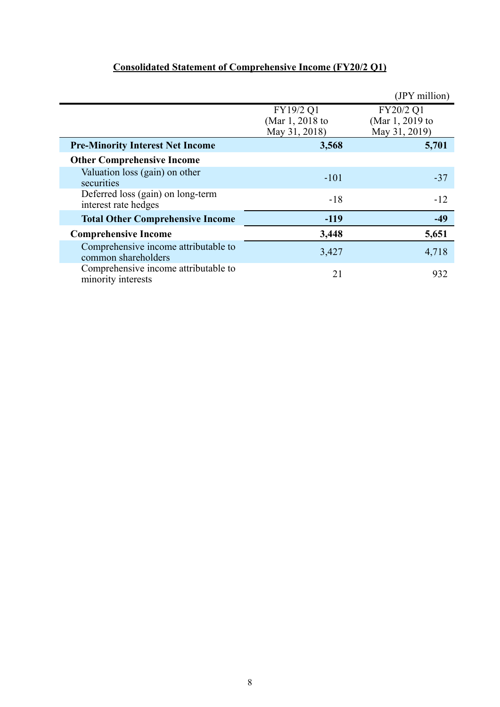### **Consolidated Statement of Comprehensive Income (FY20/2 Q1)**

|                                                             |                                               | (JPY million)                                 |
|-------------------------------------------------------------|-----------------------------------------------|-----------------------------------------------|
|                                                             | FY19/2 Q1<br>(Mar 1, 2018 to<br>May 31, 2018) | FY20/2 Q1<br>(Mar 1, 2019 to<br>May 31, 2019) |
| <b>Pre-Minority Interest Net Income</b>                     | 3,568                                         | 5,701                                         |
| <b>Other Comprehensive Income</b>                           |                                               |                                               |
| Valuation loss (gain) on other<br>securities                | $-101$                                        | $-37$                                         |
| Deferred loss (gain) on long-term<br>interest rate hedges   | $-18$                                         | $-12$                                         |
| <b>Total Other Comprehensive Income</b>                     | $-119$                                        | $-49$                                         |
| <b>Comprehensive Income</b>                                 | 3,448                                         | 5,651                                         |
| Comprehensive income attributable to<br>common shareholders | 3,427                                         | 4,718                                         |
| Comprehensive income attributable to<br>minority interests  | 21                                            | 932                                           |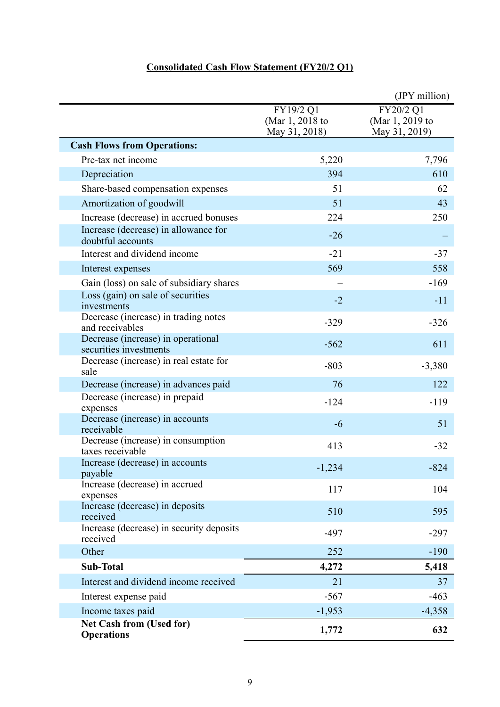### **Consolidated Cash Flow Statement (FY20/2 Q1)**

|                                                              |                                               | (JPY million)                                 |
|--------------------------------------------------------------|-----------------------------------------------|-----------------------------------------------|
|                                                              | FY19/2 Q1<br>(Mar 1, 2018 to<br>May 31, 2018) | FY20/2 Q1<br>(Mar 1, 2019 to<br>May 31, 2019) |
| <b>Cash Flows from Operations:</b>                           |                                               |                                               |
| Pre-tax net income                                           | 5,220                                         | 7,796                                         |
| Depreciation                                                 | 394                                           | 610                                           |
| Share-based compensation expenses                            | 51                                            | 62                                            |
| Amortization of goodwill                                     | 51                                            | 43                                            |
| Increase (decrease) in accrued bonuses                       | 224                                           | 250                                           |
| Increase (decrease) in allowance for<br>doubtful accounts    | $-26$                                         |                                               |
| Interest and dividend income                                 | $-21$                                         | $-37$                                         |
| Interest expenses                                            | 569                                           | 558                                           |
| Gain (loss) on sale of subsidiary shares                     |                                               | $-169$                                        |
| Loss (gain) on sale of securities<br>investments             | $-2$                                          | $-11$                                         |
| Decrease (increase) in trading notes<br>and receivables      | $-329$                                        | $-326$                                        |
| Decrease (increase) in operational<br>securities investments | $-562$                                        | 611                                           |
| Decrease (increase) in real estate for<br>sale               | $-803$                                        | $-3,380$                                      |
| Decrease (increase) in advances paid                         | 76                                            | 122                                           |
| Decrease (increase) in prepaid<br>expenses                   | $-124$                                        | $-119$                                        |
| Decrease (increase) in accounts<br>receivable                | $-6$                                          | 51                                            |
| Decrease (increase) in consumption<br>taxes receivable       | 413                                           | $-32$                                         |
| Increase (decrease) in accounts<br>payable                   | $-1,234$                                      | $-824$                                        |
| Increase (decrease) in accrued<br>expenses                   | 117                                           | 104                                           |
| Increase (decrease) in deposits<br>received                  | 510                                           | 595                                           |
| Increase (decrease) in security deposits<br>received         | $-497$                                        | $-297$                                        |
| Other                                                        | 252                                           | $-190$                                        |
| <b>Sub-Total</b>                                             | 4,272                                         | 5,418                                         |
| Interest and dividend income received                        | 21                                            | 37                                            |
| Interest expense paid                                        | $-567$                                        | $-463$                                        |
| Income taxes paid                                            | $-1,953$                                      | $-4,358$                                      |
| <b>Net Cash from (Used for)</b><br><b>Operations</b>         | 1,772                                         | 632                                           |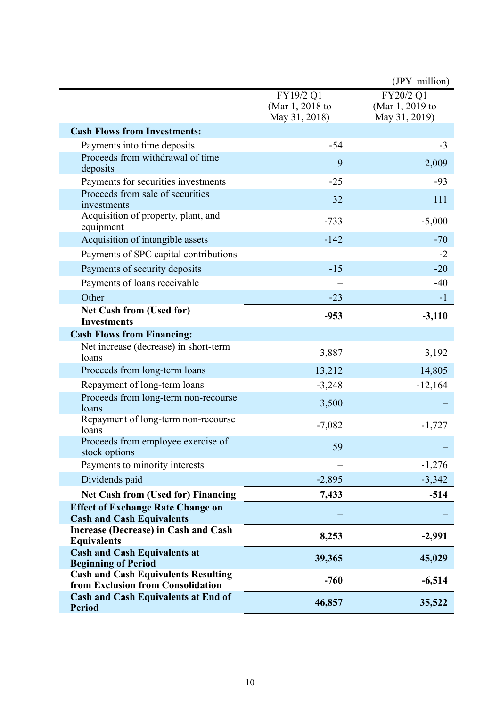|                                                                                                               |                                               | (JPY million)                                 |
|---------------------------------------------------------------------------------------------------------------|-----------------------------------------------|-----------------------------------------------|
|                                                                                                               | FY19/2 Q1<br>(Mar 1, 2018 to<br>May 31, 2018) | FY20/2 Q1<br>(Mar 1, 2019 to<br>May 31, 2019) |
| <b>Cash Flows from Investments:</b>                                                                           |                                               |                                               |
| Payments into time deposits                                                                                   | $-54$                                         | $-3$                                          |
| Proceeds from withdrawal of time<br>deposits                                                                  | 9                                             | 2,009                                         |
| Payments for securities investments                                                                           | $-25$                                         | $-93$                                         |
| Proceeds from sale of securities<br>investments                                                               | 32                                            | 111                                           |
| Acquisition of property, plant, and<br>equipment                                                              | $-733$                                        | $-5,000$                                      |
| Acquisition of intangible assets                                                                              | $-142$                                        | $-70$                                         |
| Payments of SPC capital contributions                                                                         |                                               | $-2$                                          |
| Payments of security deposits                                                                                 | $-15$                                         | $-20$                                         |
| Payments of loans receivable                                                                                  |                                               | $-40$                                         |
| Other                                                                                                         | $-23$                                         | $-1$                                          |
| <b>Net Cash from (Used for)</b><br><b>Investments</b>                                                         | $-953$                                        | $-3,110$                                      |
| <b>Cash Flows from Financing:</b>                                                                             |                                               |                                               |
| Net increase (decrease) in short-term<br>loans                                                                | 3,887                                         | 3,192                                         |
| Proceeds from long-term loans                                                                                 | 13,212                                        | 14,805                                        |
| Repayment of long-term loans                                                                                  | $-3,248$                                      | $-12,164$                                     |
| Proceeds from long-term non-recourse<br>loans                                                                 | 3,500                                         |                                               |
| Repayment of long-term non-recourse<br>loans                                                                  | $-7,082$                                      | $-1,727$                                      |
| Proceeds from employee exercise of<br>stock options                                                           | 59                                            |                                               |
| Payments to minority interests                                                                                |                                               | $-1,276$                                      |
| Dividends paid                                                                                                | $-2,895$                                      | $-3,342$                                      |
| <b>Net Cash from (Used for) Financing</b>                                                                     | 7,433                                         | $-514$                                        |
| <b>Effect of Exchange Rate Change on</b><br><b>Cash and Cash Equivalents</b>                                  |                                               |                                               |
| Increase (Decrease) in Cash and Cash<br><b>Equivalents</b>                                                    | 8,253                                         | $-2,991$                                      |
| <b>Cash and Cash Equivalents at</b>                                                                           | 39,365                                        | 45,029                                        |
| <b>Beginning of Period</b><br><b>Cash and Cash Equivalents Resulting</b><br>from Exclusion from Consolidation | $-760$                                        | $-6,514$                                      |
| <b>Cash and Cash Equivalents at End of</b><br><b>Period</b>                                                   | 46,857                                        | 35,522                                        |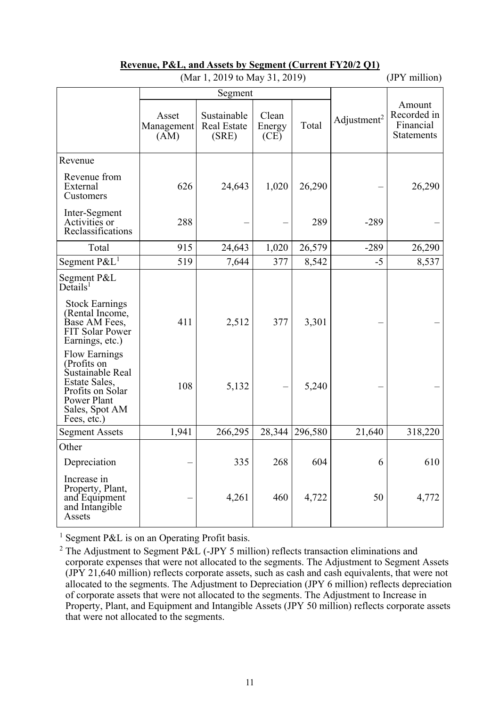| (Mar 1, 2019 to May 31, 2019)                                                                                                                    |                             |                                     |                         |         | (JPY million)           |                                                         |
|--------------------------------------------------------------------------------------------------------------------------------------------------|-----------------------------|-------------------------------------|-------------------------|---------|-------------------------|---------------------------------------------------------|
|                                                                                                                                                  | Segment                     |                                     |                         |         |                         |                                                         |
|                                                                                                                                                  | Asset<br>Management<br>(AM) | Sustainable<br>Real Estate<br>(SRE) | Clean<br>Energy<br>(CE) | Total   | Adjustment <sup>2</sup> | Amount<br>Recorded in<br>Financial<br><b>Statements</b> |
| Revenue                                                                                                                                          |                             |                                     |                         |         |                         |                                                         |
| Revenue from<br>External<br>Customers                                                                                                            | 626                         | 24,643                              | 1,020                   | 26,290  |                         | 26,290                                                  |
| Inter-Segment<br>Activities or<br>Reclassifications                                                                                              | 288                         |                                     |                         | 289     | $-289$                  |                                                         |
| Total                                                                                                                                            | 915                         | 24,643                              | 1,020                   | 26,579  | $-289$                  | 26,290                                                  |
| Segment $P\&L^1$                                                                                                                                 | 519                         | 7,644                               | 377                     | 8,542   | $-5$                    | 8,537                                                   |
| Segment P&L<br>$De$ tails <sup>1</sup><br><b>Stock Earnings</b><br>(Rental Income,<br>Base AM Fees,<br><b>FIT Solar Power</b><br>Earnings, etc.) | 411                         | 2,512                               | 377                     | 3,301   |                         |                                                         |
| <b>Flow Earnings</b><br>(Profits on<br>Sustainable Real<br>Estate Sales,<br>Profits on Solar<br>Power Plant<br>Sales, Spot AM<br>Fees, etc.)     | 108                         | 5,132                               |                         | 5,240   |                         |                                                         |
| <b>Segment Assets</b>                                                                                                                            | 1,941                       | 266,295                             | 28,344                  | 296,580 | 21,640                  | 318,220                                                 |
| Other                                                                                                                                            |                             |                                     |                         |         |                         |                                                         |
| Depreciation                                                                                                                                     |                             | 335                                 | 268                     | 604     | 6                       | 610                                                     |
| Increase in<br>Property, Plant,<br>and Equipment<br>and Intangible<br>Assets                                                                     |                             | 4,261                               | 460                     | 4,722   | 50                      | 4,772                                                   |

### **Revenue, P&L, and Assets by Segment (Current FY20/2 Q1)**

<sup>1</sup> Segment P&L is on an Operating Profit basis.

<sup>&</sup>lt;sup>2</sup> The Adjustment to Segment P&L (-JPY 5 million) reflects transaction eliminations and corporate expenses that were not allocated to the segments. The Adjustment to Segment Assets (JPY 21,640 million) reflects corporate assets, such as cash and cash equivalents, that were not allocated to the segments. The Adjustment to Depreciation (JPY 6 million) reflects depreciation of corporate assets that were not allocated to the segments. The Adjustment to Increase in Property, Plant, and Equipment and Intangible Assets (JPY 50 million) reflects corporate assets that were not allocated to the segments.